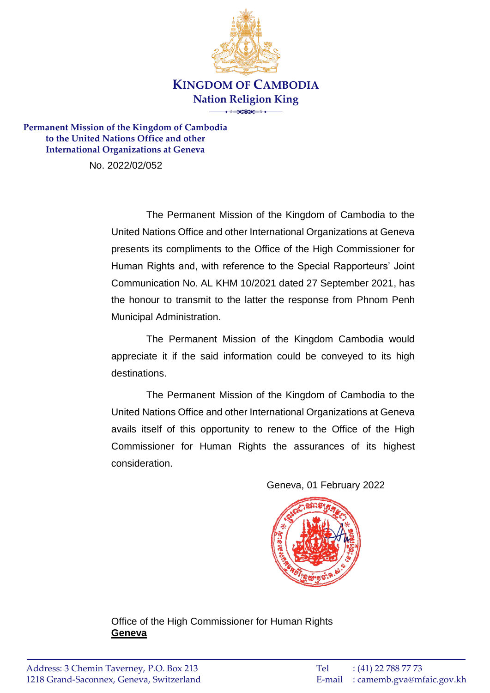

**Permanent Mission of the Kingdom of Cambodia to the United Nations Office and other International Organizations at Geneva**

No. 2022/02/052

The Permanent Mission of the Kingdom of Cambodia to the United Nations Office and other International Organizations at Geneva presents its compliments to the Office of the High Commissioner for Human Rights and, with reference to the Special Rapporteurs' Joint Communication No. AL KHM 10/2021 dated 27 September 2021, has the honour to transmit to the latter the response from Phnom Penh Municipal Administration.

The Permanent Mission of the Kingdom Cambodia would appreciate it if the said information could be conveyed to its high destinations.

The Permanent Mission of the Kingdom of Cambodia to the United Nations Office and other International Organizations at Geneva avails itself of this opportunity to renew to the Office of the High Commissioner for Human Rights the assurances of its highest consideration.

Geneva, 01 February 2022



Office of the High Commissioner for Human Rights **Geneva**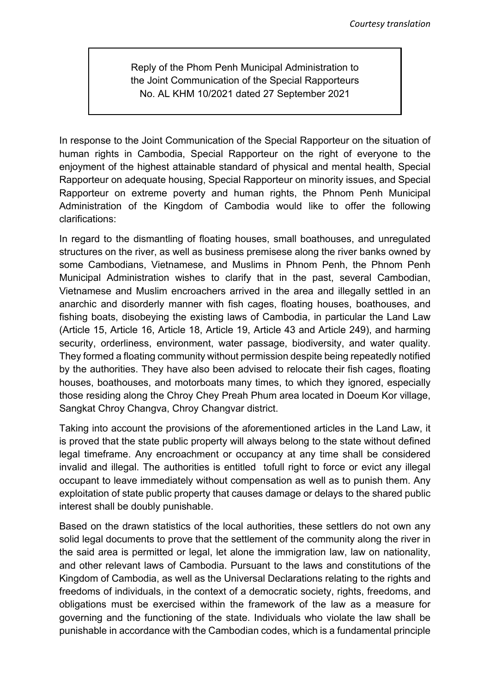Reply of the Phom Penh Municipal Administration to the Joint Communication of the Special Rapporteurs No. AL KHM 10/2021 dated 27 September 2021

In response to the Joint Communication of the Special Rapporteur on the situation of human rights in Cambodia, Special Rapporteur on the right of everyone to the enjoyment of the highest attainable standard of physical and mental health, Special Rapporteur on adequate housing, Special Rapporteur on minority issues, and Special Rapporteur on extreme poverty and human rights, the Phnom Penh Municipal Administration of the Kingdom of Cambodia would like to offer the following clarifications:

In regard to the dismantling of floating houses, small boathouses, and unregulated structures on the river, as well as business premisese along the river banks owned by some Cambodians, Vietnamese, and Muslims in Phnom Penh, the Phnom Penh Municipal Administration wishes to clarify that in the past, several Cambodian, Vietnamese and Muslim encroachers arrived in the area and illegally settled in an anarchic and disorderly manner with fish cages, floating houses, boathouses, and fishing boats, disobeying the existing laws of Cambodia, in particular the Land Law (Article 15, Article 16, Article 18, Article 19, Article 43 and Article 249), and harming security, orderliness, environment, water passage, biodiversity, and water quality. They formed a floating community without permission despite being repeatedly notified by the authorities. They have also been advised to relocate their fish cages, floating houses, boathouses, and motorboats many times, to which they ignored, especially those residing along the Chroy Chey Preah Phum area located in Doeum Kor village, Sangkat Chroy Changva, Chroy Changvar district.

Taking into account the provisions of the aforementioned articles in the Land Law, it is proved that the state public property will always belong to the state without defined legal timeframe. Any encroachment or occupancy at any time shall be considered invalid and illegal. The authorities is entitled tofull right to force or evict any illegal occupant to leave immediately without compensation as well as to punish them. Any exploitation of state public property that causes damage or delays to the shared public interest shall be doubly punishable.

Based on the drawn statistics of the local authorities, these settlers do not own any solid legal documents to prove that the settlement of the community along the river in the said area is permitted or legal, let alone the immigration law, law on nationality, and other relevant laws of Cambodia. Pursuant to the laws and constitutions of the Kingdom of Cambodia, as well as the Universal Declarations relating to the rights and freedoms of individuals, in the context of a democratic society, rights, freedoms, and obligations must be exercised within the framework of the law as a measure for governing and the functioning of the state. Individuals who violate the law shall be punishable in accordance with the Cambodian codes, which is a fundamental principle